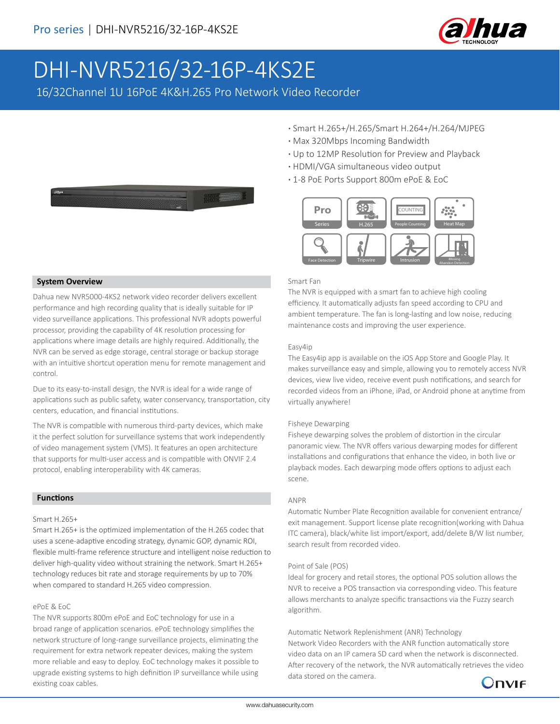

# DHI-NVR5216/32-16P-4KS2E

16/32Channel 1U 16PoE 4K&H.265 Pro Network Video Recorder



- **·** Smart H.265+/H.265/Smart H.264+/H.264/MJPEG
- **·** Max 320Mbps Incoming Bandwidth
- **·** Up to 12MP Resolution for Preview and Playback
- **·** HDMI/VGA simultaneous video output
- **·** 1-8 PoE Ports Support 800m ePoE & EoC



#### Smart Fan

The NVR is equipped with a smart fan to achieve high cooling efficiency. It automatically adjusts fan speed according to CPU and ambient temperature. The fan is long-lasting and low noise, reducing maintenance costs and improving the user experience.

#### Easy4ip

The Easy4ip app is available on the iOS App Store and Google Play. It makes surveillance easy and simple, allowing you to remotely access NVR devices, view live video, receive event push notifications, and search for recorded videos from an iPhone, iPad, or Android phone at anytime from virtually anywhere!

#### Fisheye Dewarping

Fisheye dewarping solves the problem of distortion in the circular panoramic view. The NVR offers various dewarping modes for different installations and configurations that enhance the video, in both live or playback modes. Each dewarping mode offers options to adjust each scene.

#### ANPR

Automatic Number Plate Recognition available for convenient entrance/ exit management. Support license plate recognition(working with Dahua ITC camera), black/white list import/export, add/delete B/W list number, search result from recorded video.

#### Point of Sale (POS)

Ideal for grocery and retail stores, the optional POS solution allows the NVR to receive a POS transaction via corresponding video. This feature allows merchants to analyze specific transactions via the Fuzzy search algorithm.

Automatic Network Replenishment (ANR) Technology

Network Video Recorders with the ANR function automatically store video data on an IP camera SD card when the network is disconnected. After recovery of the network, the NVR automatically retrieves the video data stored on the camera.



## **System Overview**

Dahua new NVR5000-4KS2 network video recorder delivers excellent performance and high recording quality that is ideally suitable for IP video surveillance applications. This professional NVR adopts powerful processor, providing the capability of 4K resolution processing for applications where image details are highly required. Additionally, the NVR can be served as edge storage, central storage or backup storage with an intuitive shortcut operation menu for remote management and control.

Due to its easy-to-install design, the NVR is ideal for a wide range of applications such as public safety, water conservancy, transportation, city centers, education, and financial institutions.

The NVR is compatible with numerous third-party devices, which make it the perfect solution for surveillance systems that work independently of video management system (VMS). It features an open architecture that supports for multi-user access and is compatible with ONVIF 2.4 protocol, enabling interoperability with 4K cameras.

## **Functions**

#### Smart H.265+

Smart H.265+ is the optimized implementation of the H.265 codec that uses a scene-adaptive encoding strategy, dynamic GOP, dynamic ROI, flexible multi-frame reference structure and intelligent noise reduction to deliver high-quality video without straining the network. Smart H.265+ technology reduces bit rate and storage requirements by up to 70% when compared to standard H.265 video compression.

#### ePoE & EoC

The NVR supports 800m ePoE and EoC technology for use in a broad range of application scenarios. ePoE technology simplifies the network structure of long-range surveillance projects, eliminating the requirement for extra network repeater devices, making the system more reliable and easy to deploy. EoC technology makes it possible to upgrade existing systems to high definition IP surveillance while using existing coax cables.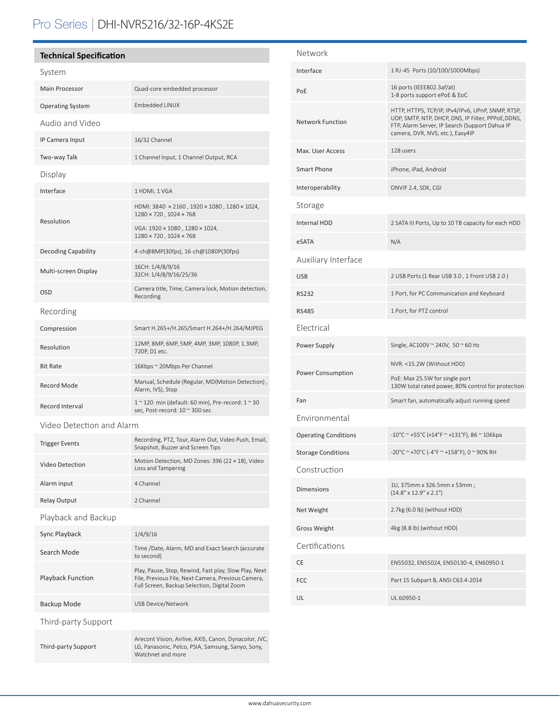# Pro Series | DHI-NVR5216/32-16P-4KS2E

# **Technical Specification**

| System                     |                                                                                                                                                            |  |
|----------------------------|------------------------------------------------------------------------------------------------------------------------------------------------------------|--|
| <b>Main Processor</b>      | Quad-core embedded processor                                                                                                                               |  |
| <b>Operating System</b>    | Embedded LINUX                                                                                                                                             |  |
| Audio and Video            |                                                                                                                                                            |  |
| IP Camera Input            | 16/32 Channel                                                                                                                                              |  |
| Two-way Talk               | 1 Channel Input, 1 Channel Output, RCA                                                                                                                     |  |
| Display                    |                                                                                                                                                            |  |
| Interface                  | 1 HDMI, 1 VGA                                                                                                                                              |  |
| Resolution                 | HDMI: 3840 × 2160, 1920 × 1080, 1280 × 1024,<br>1280 × 720, 1024 × 768                                                                                     |  |
|                            | VGA: 1920 × 1080 , 1280 × 1024,<br>1280 × 720, 1024 × 768                                                                                                  |  |
| <b>Decoding Capability</b> | 4-ch@8MP(30fps), 16-ch@1080P(30fps)                                                                                                                        |  |
| Multi-screen Display       | 16CH: 1/4/8/9/16<br>32CH: 1/4/8/9/16/25/36                                                                                                                 |  |
| OSD                        | Camera title, Time, Camera lock, Motion detection,<br>Recording                                                                                            |  |
| Recording                  |                                                                                                                                                            |  |
| Compression                | Smart H.265+/H.265/Smart H.264+/H.264/MJPEG                                                                                                                |  |
| Resolution                 | 12MP, 8MP, 6MP, 5MP, 4MP, 3MP, 1080P, 1.3MP,<br>720P, D1 etc.                                                                                              |  |
| <b>Bit Rate</b>            | 16Kbps ~ 20Mbps Per Channel                                                                                                                                |  |
| Record Mode                | Manual, Schedule (Regular, MD(Motion Detection),<br>Alarm, IVS), Stop                                                                                      |  |
| Record Interval            | $1 \sim 120$ min (default: 60 min), Pre-record: $1 \sim 30$<br>sec, Post-record: 10 ~ 300 sec                                                              |  |
| Video Detection and Alarm  |                                                                                                                                                            |  |
| <b>Trigger Events</b>      | Recording, PTZ, Tour, Alarm Out, Video Push, Email,<br>Snapshot, Buzzer and Screen Tips                                                                    |  |
| Video Detection            | Motion Detection, MD Zones: 396 (22 × 18), Video<br>Loss and Tampering                                                                                     |  |
| Alarm input                | 4 Channel                                                                                                                                                  |  |
| <b>Relay Output</b>        | 2 Channel                                                                                                                                                  |  |
| Playback and Backup        |                                                                                                                                                            |  |
| Sync Playback              | 1/4/9/16                                                                                                                                                   |  |
| Search Mode                | Time /Date, Alarm, MD and Exact Search (accurate<br>to second)                                                                                             |  |
| <b>Playback Function</b>   | Play, Pause, Stop, Rewind, Fast play, Slow Play, Next<br>File, Previous File, Next Camera, Previous Camera,<br>Full Screen, Backup Selection, Digital Zoom |  |

Backup Mode USB Device/Network

Third-party Support

Third-party Support

Arecont Vision, Airlive, AXIS, Canon, Dynacolor, JVC, LG, Panasonic, Pelco, PSIA, Samsung, Sanyo, Sony, Watchnet and more

| Network                     |                                                                                                                                                                                               |  |
|-----------------------------|-----------------------------------------------------------------------------------------------------------------------------------------------------------------------------------------------|--|
| Interface                   | 1 RJ-45 Ports (10/100/1000Mbps)                                                                                                                                                               |  |
| PoE                         | 16 ports (IEEE802.3af/at)<br>1-8 ports support ePoE & EoC                                                                                                                                     |  |
| <b>Network Function</b>     | HTTP, HTTPS, TCP/IP, IPv4/IPv6, UPnP, SNMP, RTSP,<br>UDP, SMTP, NTP, DHCP, DNS, IP Filter, PPPoE, DDNS,<br>FTP, Alarm Server, IP Search (Support Dahua IP<br>camera, DVR, NVS, etc.), Easy4IP |  |
| Max. User Access            | 128 users                                                                                                                                                                                     |  |
| <b>Smart Phone</b>          | iPhone, iPad, Android                                                                                                                                                                         |  |
| Interoperability            | ONVIF 2.4, SDK, CGI                                                                                                                                                                           |  |
| Storage                     |                                                                                                                                                                                               |  |
| <b>Internal HDD</b>         | 2 SATA III Ports, Up to 10 TB capacity for each HDD                                                                                                                                           |  |
| eSATA                       | N/A                                                                                                                                                                                           |  |
| Auxiliary Interface         |                                                                                                                                                                                               |  |
| <b>USB</b>                  | 2 USB Ports (1 Rear USB 3.0, 1 Front USB 2.0)                                                                                                                                                 |  |
| <b>RS232</b>                | 1 Port, for PC Communication and Keyboard                                                                                                                                                     |  |
| <b>RS485</b>                | 1 Port, for PTZ control                                                                                                                                                                       |  |
| Electrical                  |                                                                                                                                                                                               |  |
| Power Supply                | Single, AC100V ~ 240V, 50 ~ 60 Hz                                                                                                                                                             |  |
| <b>Power Consumption</b>    | NVR: <15.2W (Without HDD)                                                                                                                                                                     |  |
|                             | PoE: Max 25.5W for single port<br>130W total rated power, 80% control for protection                                                                                                          |  |
| Fan                         | Smart fan, automatically adjust running speed                                                                                                                                                 |  |
| Environmental               |                                                                                                                                                                                               |  |
| <b>Operating Conditions</b> | -10°C ~ +55°C (+14°F ~ +131°F), 86 ~ 106kpa                                                                                                                                                   |  |
| <b>Storage Conditions</b>   | -20°C ~ +70°C (-4°F ~ +158°F), 0 ~ 90% RH                                                                                                                                                     |  |
| Construction                |                                                                                                                                                                                               |  |
| <b>Dimensions</b>           | 1U, 375mm x 326.5mm x 53mm;<br>$(14.8" \times 12.9" \times 2.1")$                                                                                                                             |  |
| Net Weight                  | 2.7kg (6.0 lb) (without HDD)                                                                                                                                                                  |  |
| <b>Gross Weight</b>         | 4kg (8.8 lb) (without HDD)                                                                                                                                                                    |  |
| Certifications              |                                                                                                                                                                                               |  |
| CE                          | EN55032, EN55024, EN50130-4, EN60950-1                                                                                                                                                        |  |
| FCC                         | Part 15 Subpart B, ANSI C63.4-2014                                                                                                                                                            |  |
| UL                          | UL 60950-1                                                                                                                                                                                    |  |